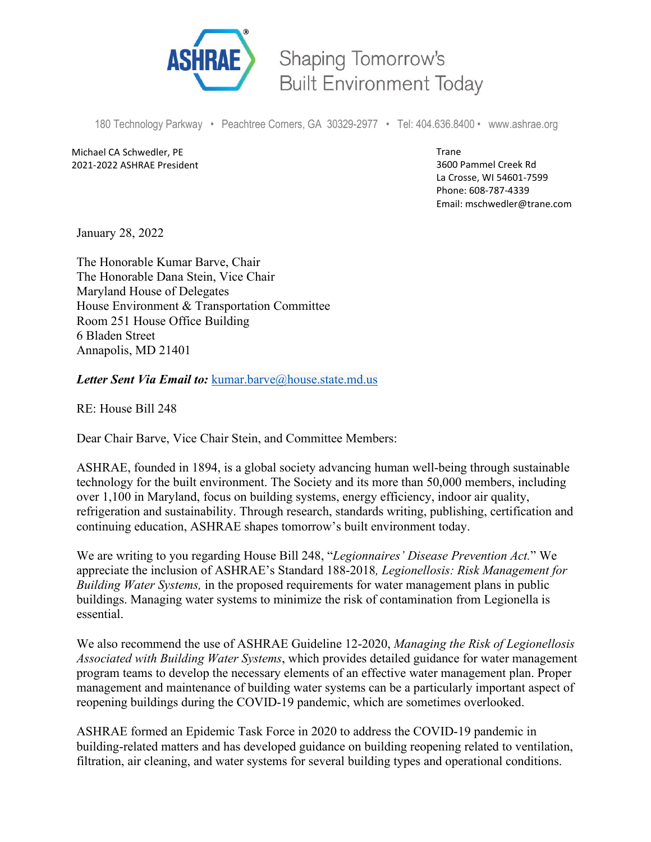

Shaping Tomorrow's **Built Environment Today** 

180 Technology Parkway • Peachtree Corners, GA 30329-2977 • Tel: 404.636.8400 • www.ashrae.org

Michael CA Schwedler, PE 2021-2022 ASHRAE President Trane 3600 Pammel Creek Rd La Crosse, WI 54601-7599 Phone: 608-787-4339 Email: mschwedler@trane.com

January 28, 2022

The Honorable Kumar Barve, Chair The Honorable Dana Stein, Vice Chair Maryland House of Delegates House Environment & Transportation Committee Room 251 House Office Building 6 Bladen Street Annapolis, MD 21401

Letter Sent Via Email to: [kumar.barve@house.state.md.us](mailto:kumar.barve@house.state.md.us?body=To%20assist%20us%20as%20quickly%20and%20comprehensively%20as%20possible,%20please%20include%20the%20following%20information.%0A%0ANAME:%0AHOME%20ADDRESS%20AND%20ZIP%20CODE:%0APHONE%20NUMBER:%20)

RE: House Bill 248

Dear Chair Barve, Vice Chair Stein, and Committee Members:

ASHRAE, founded in 1894, is a global society advancing human well-being through sustainable technology for the built environment. The Society and its more than 50,000 members, including over 1,100 in Maryland, focus on building systems, energy efficiency, indoor air quality, refrigeration and sustainability. Through research, standards writing, publishing, certification and continuing education, ASHRAE shapes tomorrow's built environment today.

We are writing to you regarding House Bill 248, "*Legionnaires' Disease Prevention Act.*" We appreciate the inclusion of ASHRAE's Standard 188-2018*, Legionellosis: Risk Management for Building Water Systems,* in the proposed requirements for water management plans in public buildings. Managing water systems to minimize the risk of contamination from Legionella is essential.

We also recommend the use of ASHRAE Guideline 12-2020, *Managing the Risk of Legionellosis Associated with Building Water Systems*, which provides detailed guidance for water management program teams to develop the necessary elements of an effective water management plan. Proper management and maintenance of building water systems can be a particularly important aspect of reopening buildings during the COVID-19 pandemic, which are sometimes overlooked.

ASHRAE formed an Epidemic Task Force in 2020 to address the COVID-19 pandemic in building-related matters and has developed guidance on building reopening related to ventilation, filtration, air cleaning, and water systems for several building types and operational conditions.